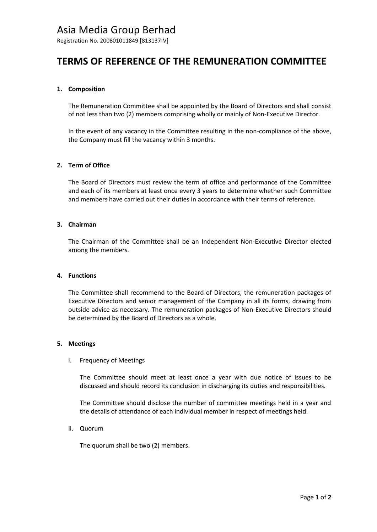# Asia Media Group Berhad

Registration No. 200801011849 [813137-V]

# **TERMS OF REFERENCE OF THE REMUNERATION COMMITTEE**

### **1. Composition**

The Remuneration Committee shall be appointed by the Board of Directors and shall consist of not less than two (2) members comprising wholly or mainly of Non-Executive Director.

In the event of any vacancy in the Committee resulting in the non-compliance of the above, the Company must fill the vacancy within 3 months.

## **2. Term of Office**

The Board of Directors must review the term of office and performance of the Committee and each of its members at least once every 3 years to determine whether such Committee and members have carried out their duties in accordance with their terms of reference.

#### **3. Chairman**

The Chairman of the Committee shall be an Independent Non-Executive Director elected among the members.

#### **4. Functions**

The Committee shall recommend to the Board of Directors, the remuneration packages of Executive Directors and senior management of the Company in all its forms, drawing from outside advice as necessary. The remuneration packages of Non-Executive Directors should be determined by the Board of Directors as a whole.

#### **5. Meetings**

#### i. Frequency of Meetings

The Committee should meet at least once a year with due notice of issues to be discussed and should record its conclusion in discharging its duties and responsibilities.

The Committee should disclose the number of committee meetings held in a year and the details of attendance of each individual member in respect of meetings held.

#### ii. Quorum

The quorum shall be two (2) members.